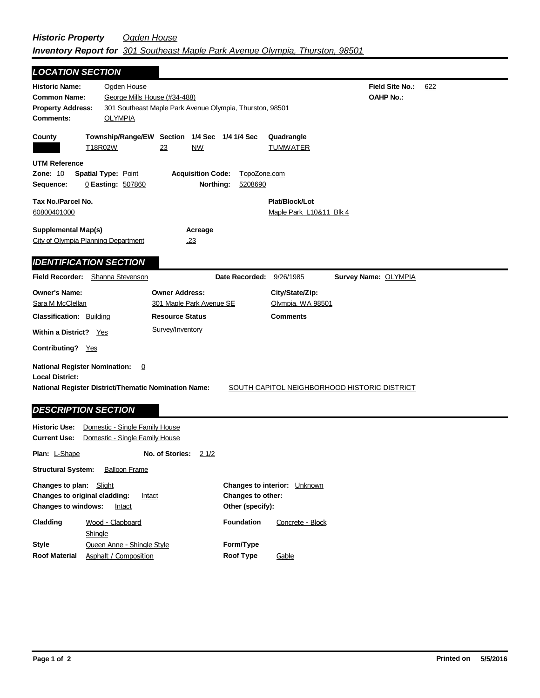| <b>LOCATION SECTION</b>                                                                                                                              |                                                                  |                                                                             |                         |                                                         |                                              |     |
|------------------------------------------------------------------------------------------------------------------------------------------------------|------------------------------------------------------------------|-----------------------------------------------------------------------------|-------------------------|---------------------------------------------------------|----------------------------------------------|-----|
| <b>Historic Name:</b><br><b>Common Name:</b><br><b>Property Address:</b><br><b>Comments:</b>                                                         | Ogden House<br>George Mills House (#34-488)<br><b>OLYMPIA</b>    | 301 Southeast Maple Park Avenue Olympia, Thurston, 98501                    |                         |                                                         | <b>Field Site No.:</b><br><b>OAHP No.:</b>   | 622 |
| County                                                                                                                                               | T18R02W                                                          | Township/Range/EW Section 1/4 Sec 1/4 1/4 Sec<br><b>NW</b><br>23            |                         | Quadrangle<br><b>TUMWATER</b>                           |                                              |     |
| <b>UTM Reference</b><br><b>Zone: 10</b><br>Sequence:                                                                                                 | <b>Spatial Type: Point</b><br>0 Easting: 507860                  | <b>Acquisition Code:</b><br>Northing:                                       | TopoZone.com<br>5208690 |                                                         |                                              |     |
| Tax No./Parcel No.<br>60800401000                                                                                                                    |                                                                  |                                                                             |                         | Plat/Block/Lot<br>Maple Park L10&11 Blk 4               |                                              |     |
| <b>Supplemental Map(s)</b><br>City of Olympia Planning Department                                                                                    |                                                                  | Acreage<br>.23                                                              |                         |                                                         |                                              |     |
| <b>IDENTIFICATION SECTION</b>                                                                                                                        |                                                                  |                                                                             |                         |                                                         |                                              |     |
| <b>Field Recorder:</b>                                                                                                                               | Shanna Stevenson                                                 |                                                                             | Date Recorded:          | 9/26/1985                                               | <b>Survey Name: OLYMPIA</b>                  |     |
| <b>Owner's Name:</b><br>Sara M McClellan<br><b>Classification: Building</b>                                                                          |                                                                  | <b>Owner Address:</b><br>301 Maple Park Avenue SE<br><b>Resource Status</b> |                         | City/State/Zip:<br>Olympia, WA 98501<br><b>Comments</b> |                                              |     |
| Within a District? Yes                                                                                                                               |                                                                  | Survey/Inventory                                                            |                         |                                                         |                                              |     |
| Contributing? Yes                                                                                                                                    |                                                                  |                                                                             |                         |                                                         |                                              |     |
| <b>National Register Nomination:</b><br><b>Local District:</b><br>National Register District/Thematic Nomination Name:<br><b>DESCRIPTION SECTION</b> | 0                                                                |                                                                             |                         |                                                         | SOUTH CAPITOL NEIGHBORHOOD HISTORIC DISTRICT |     |
| <b>Historic Use:</b><br><b>Current Use:</b>                                                                                                          | Domestic - Single Family House<br>Domestic - Single Family House |                                                                             |                         |                                                         |                                              |     |
| <b>Plan: L-Shape</b>                                                                                                                                 |                                                                  | No. of Stories:<br>2 1/2                                                    |                         |                                                         |                                              |     |
| <b>Structural System:</b>                                                                                                                            | <b>Balloon Frame</b>                                             |                                                                             |                         |                                                         |                                              |     |

| <b>Changes to plan:</b> Slight |                                         |                   | <b>Changes to interior:</b> Unknown |  |
|--------------------------------|-----------------------------------------|-------------------|-------------------------------------|--|
|                                | Changes to original cladding:<br>Intact | Changes to other: |                                     |  |
| <b>Changes to windows:</b>     | Intact                                  | Other (specify):  |                                     |  |
| Cladding                       | Wood - Clapboard                        | <b>Foundation</b> | Concrete - Block                    |  |
|                                | Shingle                                 |                   |                                     |  |
| <b>Style</b>                   | Queen Anne - Shingle Style              | Form/Type         |                                     |  |
| <b>Roof Material</b>           | Asphalt / Composition                   | <b>Roof Type</b>  | Gable                               |  |